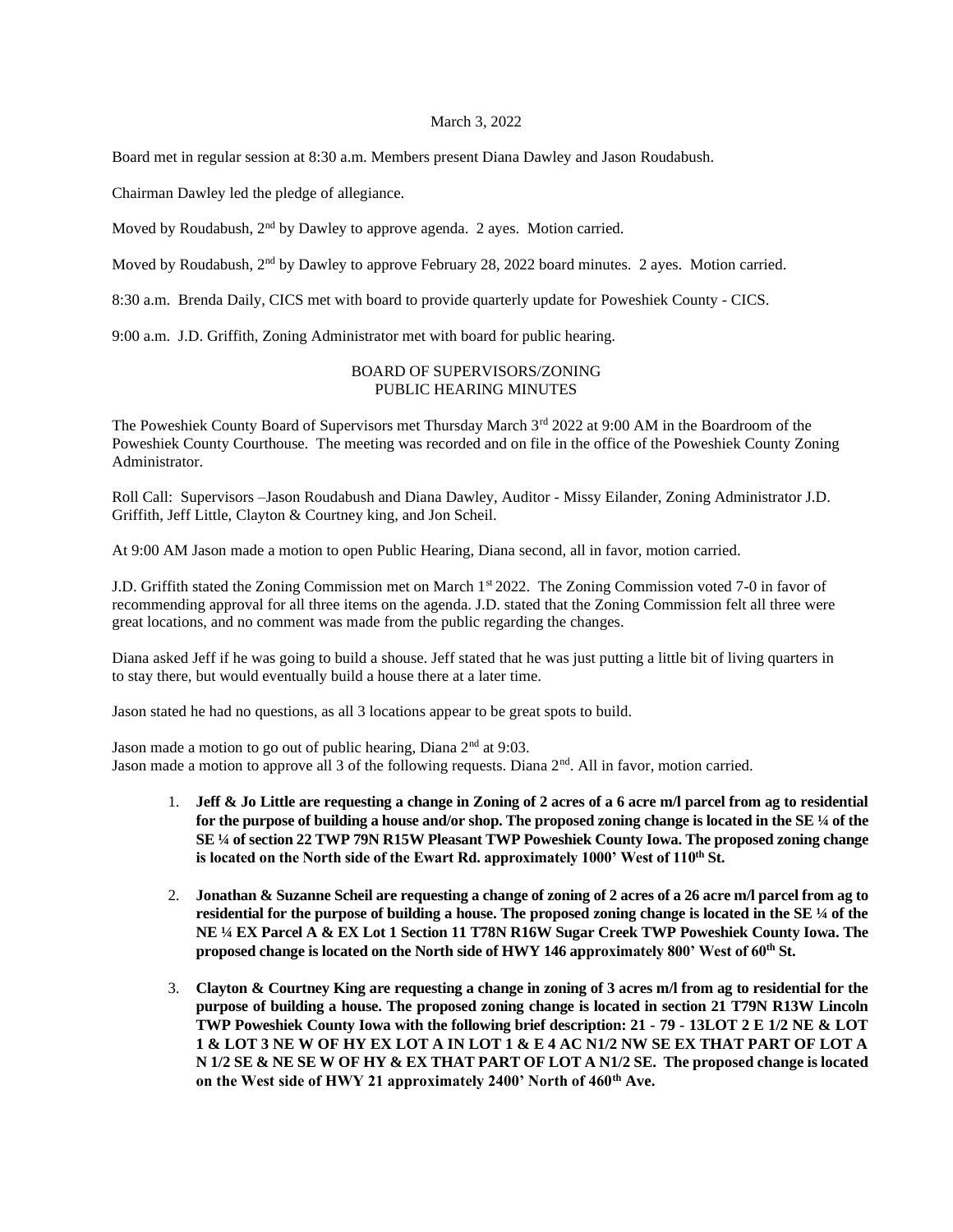#### March 3, 2022

Board met in regular session at 8:30 a.m. Members present Diana Dawley and Jason Roudabush.

Chairman Dawley led the pledge of allegiance.

Moved by Roudabush, 2<sup>nd</sup> by Dawley to approve agenda. 2 ayes. Motion carried.

Moved by Roudabush, 2nd by Dawley to approve February 28, 2022 board minutes. 2 ayes. Motion carried.

8:30 a.m. Brenda Daily, CICS met with board to provide quarterly update for Poweshiek County - CICS.

9:00 a.m. J.D. Griffith, Zoning Administrator met with board for public hearing.

## BOARD OF SUPERVISORS/ZONING PUBLIC HEARING MINUTES

The Poweshiek County Board of Supervisors met Thursday March 3rd 2022 at 9:00 AM in the Boardroom of the Poweshiek County Courthouse. The meeting was recorded and on file in the office of the Poweshiek County Zoning Administrator.

Roll Call: Supervisors –Jason Roudabush and Diana Dawley, Auditor - Missy Eilander, Zoning Administrator J.D. Griffith, Jeff Little, Clayton & Courtney king, and Jon Scheil.

At 9:00 AM Jason made a motion to open Public Hearing, Diana second, all in favor, motion carried.

J.D. Griffith stated the Zoning Commission met on March 1st 2022. The Zoning Commission voted 7-0 in favor of recommending approval for all three items on the agenda. J.D. stated that the Zoning Commission felt all three were great locations, and no comment was made from the public regarding the changes.

Diana asked Jeff if he was going to build a shouse. Jeff stated that he was just putting a little bit of living quarters in to stay there, but would eventually build a house there at a later time.

Jason stated he had no questions, as all 3 locations appear to be great spots to build.

Jason made a motion to go out of public hearing, Diana  $2<sup>nd</sup>$  at 9:03. Jason made a motion to approve all 3 of the following requests. Diana  $2<sup>nd</sup>$ . All in favor, motion carried.

- 1. **Jeff & Jo Little are requesting a change in Zoning of 2 acres of a 6 acre m/l parcel from ag to residential for the purpose of building a house and/or shop. The proposed zoning change is located in the SE ¼ of the SE ¼ of section 22 TWP 79N R15W Pleasant TWP Poweshiek County Iowa. The proposed zoning change is located on the North side of the Ewart Rd. approximately 1000' West of 110th St.**
- 2. **Jonathan & Suzanne Scheil are requesting a change of zoning of 2 acres of a 26 acre m/l parcel from ag to residential for the purpose of building a house. The proposed zoning change is located in the SE ¼ of the NE ¼ EX Parcel A & EX Lot 1 Section 11 T78N R16W Sugar Creek TWP Poweshiek County Iowa. The proposed change is located on the North side of HWY 146 approximately 800' West of 60th St.**
- 3. **Clayton & Courtney King are requesting a change in zoning of 3 acres m/l from ag to residential for the purpose of building a house. The proposed zoning change is located in section 21 T79N R13W Lincoln TWP Poweshiek County Iowa with the following brief description: 21 - 79 - 13LOT 2 E 1/2 NE & LOT 1 & LOT 3 NE W OF HY EX LOT A IN LOT 1 & E 4 AC N1/2 NW SE EX THAT PART OF LOT A N 1/2 SE & NE SE W OF HY & EX THAT PART OF LOT A N1/2 SE. The proposed change is located on the West side of HWY 21 approximately 2400' North of 460th Ave.**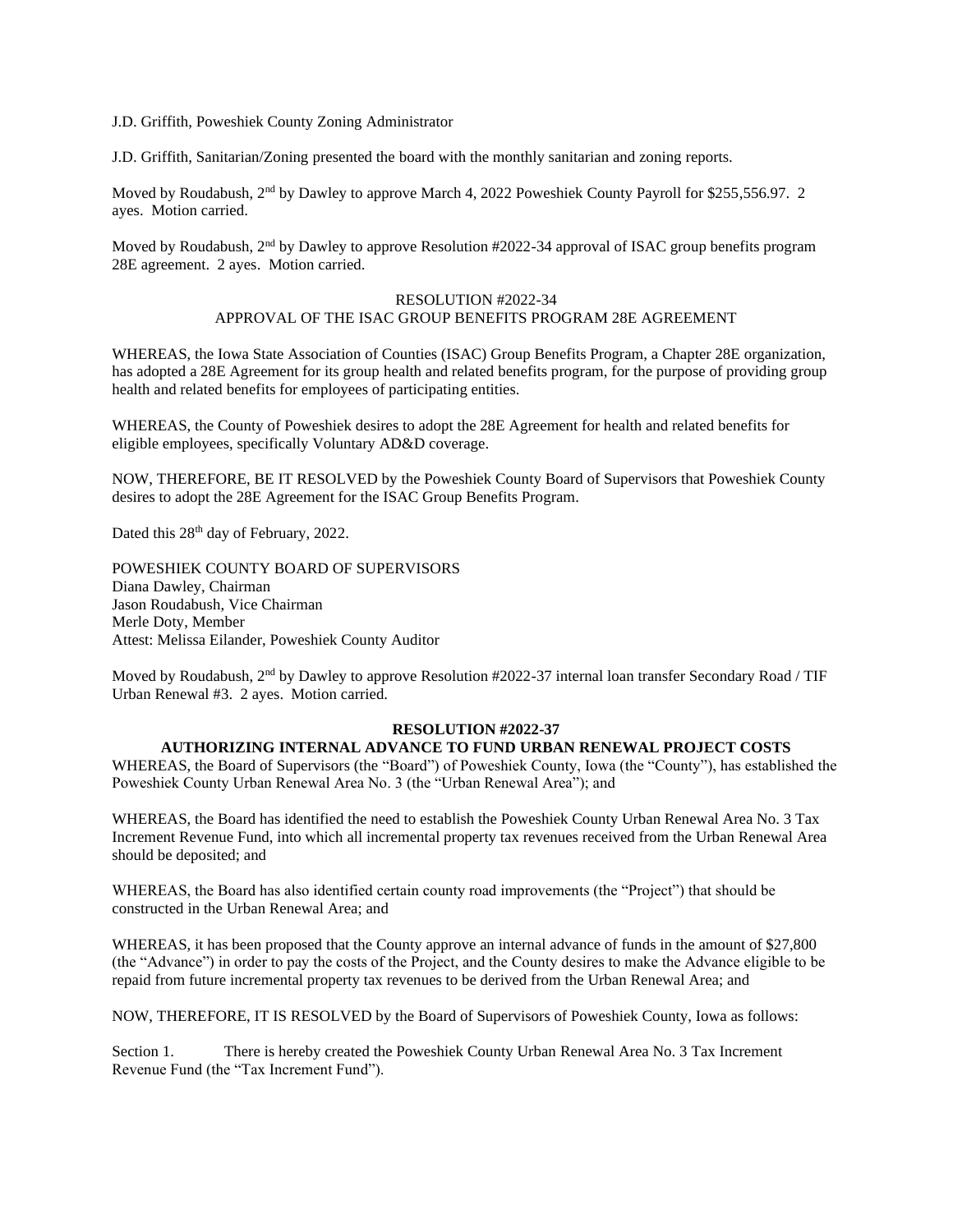J.D. Griffith, Poweshiek County Zoning Administrator

J.D. Griffith, Sanitarian/Zoning presented the board with the monthly sanitarian and zoning reports.

Moved by Roudabush, 2<sup>nd</sup> by Dawley to approve March 4, 2022 Poweshiek County Payroll for \$255,556.97. 2 ayes. Motion carried.

Moved by Roudabush,  $2<sup>nd</sup>$  by Dawley to approve Resolution #2022-34 approval of ISAC group benefits program 28E agreement. 2 ayes. Motion carried.

# RESOLUTION #2022-34 APPROVAL OF THE ISAC GROUP BENEFITS PROGRAM 28E AGREEMENT

WHEREAS, the Iowa State Association of Counties (ISAC) Group Benefits Program, a Chapter 28E organization, has adopted a 28E Agreement for its group health and related benefits program, for the purpose of providing group health and related benefits for employees of participating entities.

WHEREAS, the County of Poweshiek desires to adopt the 28E Agreement for health and related benefits for eligible employees, specifically Voluntary AD&D coverage.

NOW, THEREFORE, BE IT RESOLVED by the Poweshiek County Board of Supervisors that Poweshiek County desires to adopt the 28E Agreement for the ISAC Group Benefits Program.

Dated this 28<sup>th</sup> day of February, 2022.

POWESHIEK COUNTY BOARD OF SUPERVISORS Diana Dawley, Chairman Jason Roudabush, Vice Chairman Merle Doty, Member Attest: Melissa Eilander, Poweshiek County Auditor

Moved by Roudabush, 2<sup>nd</sup> by Dawley to approve Resolution #2022-37 internal loan transfer Secondary Road / TIF Urban Renewal #3. 2 ayes. Motion carried.

## **RESOLUTION #2022-37**

### **AUTHORIZING INTERNAL ADVANCE TO FUND URBAN RENEWAL PROJECT COSTS**

WHEREAS, the Board of Supervisors (the "Board") of Poweshiek County, Iowa (the "County"), has established the Poweshiek County Urban Renewal Area No. 3 (the "Urban Renewal Area"); and

WHEREAS, the Board has identified the need to establish the Poweshiek County Urban Renewal Area No. 3 Tax Increment Revenue Fund, into which all incremental property tax revenues received from the Urban Renewal Area should be deposited; and

WHEREAS, the Board has also identified certain county road improvements (the "Project") that should be constructed in the Urban Renewal Area; and

WHEREAS, it has been proposed that the County approve an internal advance of funds in the amount of \$27,800 (the "Advance") in order to pay the costs of the Project, and the County desires to make the Advance eligible to be repaid from future incremental property tax revenues to be derived from the Urban Renewal Area; and

NOW, THEREFORE, IT IS RESOLVED by the Board of Supervisors of Poweshiek County, Iowa as follows:

Section 1. There is hereby created the Poweshiek County Urban Renewal Area No. 3 Tax Increment Revenue Fund (the "Tax Increment Fund").